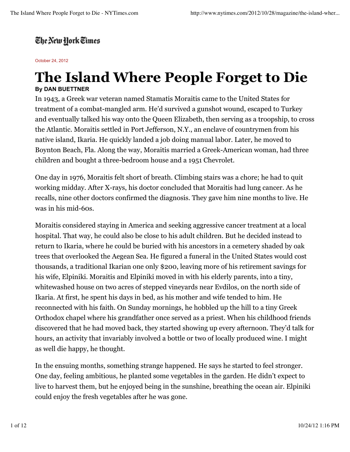## The New Hork Times

October 24, 2012

## **The Island Where People Forget to Die By DAN BUETTNER**

In 1943, a Greek war veteran named Stamatis Moraitis came to the United States for treatment of a combat-mangled arm. He'd survived a gunshot wound, escaped to Turkey and eventually talked his way onto the Queen Elizabeth, then serving as a troopship, to cross the Atlantic. Moraitis settled in Port Jefferson, N.Y., an enclave of countrymen from his native island, Ikaria. He quickly landed a job doing manual labor. Later, he moved to Boynton Beach, Fla. Along the way, Moraitis married a Greek-American woman, had three children and bought a three-bedroom house and a 1951 Chevrolet.

One day in 1976, Moraitis felt short of breath. Climbing stairs was a chore; he had to quit working midday. After X-rays, his doctor concluded that Moraitis had lung cancer. As he recalls, nine other doctors confirmed the diagnosis. They gave him nine months to live. He was in his mid-60s.

Moraitis considered staying in America and seeking aggressive cancer treatment at a local hospital. That way, he could also be close to his adult children. But he decided instead to return to Ikaria, where he could be buried with his ancestors in a cemetery shaded by oak trees that overlooked the Aegean Sea. He figured a funeral in the United States would cost thousands, a traditional Ikarian one only \$200, leaving more of his retirement savings for his wife, Elpiniki. Moraitis and Elpiniki moved in with his elderly parents, into a tiny, whitewashed house on two acres of stepped vineyards near Evdilos, on the north side of Ikaria. At first, he spent his days in bed, as his mother and wife tended to him. He reconnected with his faith. On Sunday mornings, he hobbled up the hill to a tiny Greek Orthodox chapel where his grandfather once served as a priest. When his childhood friends discovered that he had moved back, they started showing up every afternoon. They'd talk for hours, an activity that invariably involved a bottle or two of locally produced wine. I might as well die happy, he thought.

In the ensuing months, something strange happened. He says he started to feel stronger. One day, feeling ambitious, he planted some vegetables in the garden. He didn't expect to live to harvest them, but he enjoyed being in the sunshine, breathing the ocean air. Elpiniki could enjoy the fresh vegetables after he was gone.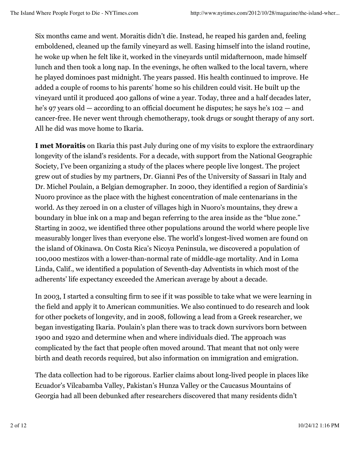Six months came and went. Moraitis didn't die. Instead, he reaped his garden and, feeling emboldened, cleaned up the family vineyard as well. Easing himself into the island routine, he woke up when he felt like it, worked in the vineyards until midafternoon, made himself lunch and then took a long nap. In the evenings, he often walked to the local tavern, where he played dominoes past midnight. The years passed. His health continued to improve. He added a couple of rooms to his parents' home so his children could visit. He built up the vineyard until it produced 400 gallons of wine a year. Today, three and a half decades later, he's 97 years old — according to an official document he disputes; he says he's 102 — and cancer-free. He never went through chemotherapy, took drugs or sought therapy of any sort. All he did was move home to Ikaria.

**I met Moraitis** on Ikaria this past July during one of my visits to explore the extraordinary longevity of the island's residents. For a decade, with support from the National Geographic Society, I've been organizing a study of the places where people live longest. The project grew out of studies by my partners, Dr. Gianni Pes of the University of Sassari in Italy and Dr. Michel Poulain, a Belgian demographer. In 2000, they identified a region of Sardinia's Nuoro province as the place with the highest concentration of male centenarians in the world. As they zeroed in on a cluster of villages high in Nuoro's mountains, they drew a boundary in blue ink on a map and began referring to the area inside as the "blue zone." Starting in 2002, we identified three other populations around the world where people live measurably longer lives than everyone else. The world's longest-lived women are found on the island of Okinawa. On Costa Rica's Nicoya Peninsula, we discovered a population of 100,000 mestizos with a lower-than-normal rate of middle-age mortality. And in Loma Linda, Calif., we identified a population of Seventh-day Adventists in which most of the adherents' life expectancy exceeded the American average by about a decade.

In 2003, I started a consulting firm to see if it was possible to take what we were learning in the field and apply it to American communities. We also continued to do research and look for other pockets of longevity, and in 2008, following a lead from a Greek researcher, we began investigating Ikaria. Poulain's plan there was to track down survivors born between 1900 and 1920 and determine when and where individuals died. The approach was complicated by the fact that people often moved around. That meant that not only were birth and death records required, but also information on immigration and emigration.

The data collection had to be rigorous. Earlier claims about long-lived people in places like Ecuador's Vilcabamba Valley, Pakistan's Hunza Valley or the Caucasus Mountains of Georgia had all been debunked after researchers discovered that many residents didn't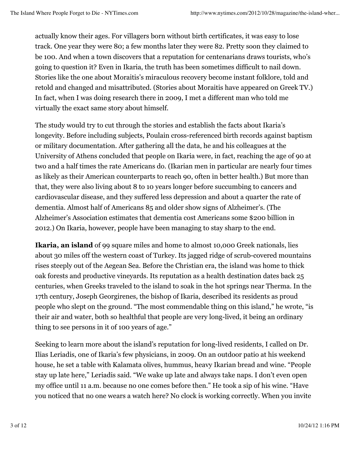actually know their ages. For villagers born without birth certificates, it was easy to lose track. One year they were 80; a few months later they were 82. Pretty soon they claimed to be 100. And when a town discovers that a reputation for centenarians draws tourists, who's going to question it? Even in Ikaria, the truth has been sometimes difficult to nail down. Stories like the one about Moraitis's miraculous recovery become instant folklore, told and retold and changed and misattributed. (Stories about Moraitis have appeared on Greek TV.) In fact, when I was doing research there in 2009, I met a different man who told me virtually the exact same story about himself.

The study would try to cut through the stories and establish the facts about Ikaria's longevity. Before including subjects, Poulain cross-referenced birth records against baptism or military documentation. After gathering all the data, he and his colleagues at the University of Athens concluded that people on Ikaria were, in fact, reaching the age of 90 at two and a half times the rate Americans do. (Ikarian men in particular are nearly four times as likely as their American counterparts to reach 90, often in better health.) But more than that, they were also living about 8 to 10 years longer before succumbing to cancers and cardiovascular disease, and they suffered less depression and about a quarter the rate of dementia. Almost half of Americans 85 and older show signs of Alzheimer's. (The Alzheimer's Association estimates that dementia cost Americans some \$200 billion in 2012.) On Ikaria, however, people have been managing to stay sharp to the end.

**Ikaria, an island** of 99 square miles and home to almost 10,000 Greek nationals, lies about 30 miles off the western coast of Turkey. Its jagged ridge of scrub-covered mountains rises steeply out of the Aegean Sea. Before the Christian era, the island was home to thick oak forests and productive vineyards. Its reputation as a health destination dates back 25 centuries, when Greeks traveled to the island to soak in the hot springs near Therma. In the 17th century, Joseph Georgirenes, the bishop of Ikaria, described its residents as proud people who slept on the ground. "The most commendable thing on this island," he wrote, "is their air and water, both so healthful that people are very long-lived, it being an ordinary thing to see persons in it of 100 years of age."

Seeking to learn more about the island's reputation for long-lived residents, I called on Dr. Ilias Leriadis, one of Ikaria's few physicians, in 2009. On an outdoor patio at his weekend house, he set a table with Kalamata olives, hummus, heavy Ikarian bread and wine. "People stay up late here," Leriadis said. "We wake up late and always take naps. I don't even open my office until 11 a.m. because no one comes before then." He took a sip of his wine. "Have you noticed that no one wears a watch here? No clock is working correctly. When you invite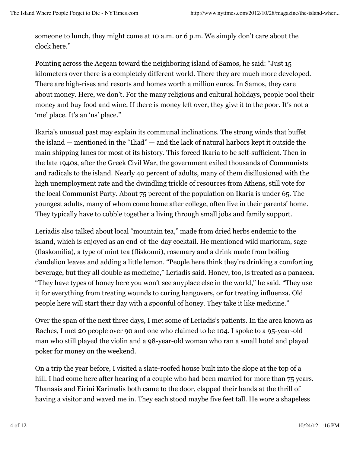someone to lunch, they might come at 10 a.m. or 6 p.m. We simply don't care about the clock here."

Pointing across the Aegean toward the neighboring island of Samos, he said: "Just 15 kilometers over there is a completely different world. There they are much more developed. There are high-rises and resorts and homes worth a million euros. In Samos, they care about money. Here, we don't. For the many religious and cultural holidays, people pool their money and buy food and wine. If there is money left over, they give it to the poor. It's not a 'me' place. It's an 'us' place."

Ikaria's unusual past may explain its communal inclinations. The strong winds that buffet the island — mentioned in the "Iliad" — and the lack of natural harbors kept it outside the main shipping lanes for most of its history. This forced Ikaria to be self-sufficient. Then in the late 1940s, after the Greek Civil War, the government exiled thousands of Communists and radicals to the island. Nearly 40 percent of adults, many of them disillusioned with the high unemployment rate and the dwindling trickle of resources from Athens, still vote for the local Communist Party. About 75 percent of the population on Ikaria is under 65. The youngest adults, many of whom come home after college, often live in their parents' home. They typically have to cobble together a living through small jobs and family support.

Leriadis also talked about local "mountain tea," made from dried herbs endemic to the island, which is enjoyed as an end-of-the-day cocktail. He mentioned wild marjoram, sage (flaskomilia), a type of mint tea (fliskouni), rosemary and a drink made from boiling dandelion leaves and adding a little lemon. "People here think they're drinking a comforting beverage, but they all double as medicine," Leriadis said. Honey, too, is treated as a panacea. "They have types of honey here you won't see anyplace else in the world," he said. "They use it for everything from treating wounds to curing hangovers, or for treating influenza. Old people here will start their day with a spoonful of honey. They take it like medicine."

Over the span of the next three days, I met some of Leriadis's patients. In the area known as Raches, I met 20 people over 90 and one who claimed to be 104. I spoke to a 95-year-old man who still played the violin and a 98-year-old woman who ran a small hotel and played poker for money on the weekend.

On a trip the year before, I visited a slate-roofed house built into the slope at the top of a hill. I had come here after hearing of a couple who had been married for more than 75 years. Thanasis and Eirini Karimalis both came to the door, clapped their hands at the thrill of having a visitor and waved me in. They each stood maybe five feet tall. He wore a shapeless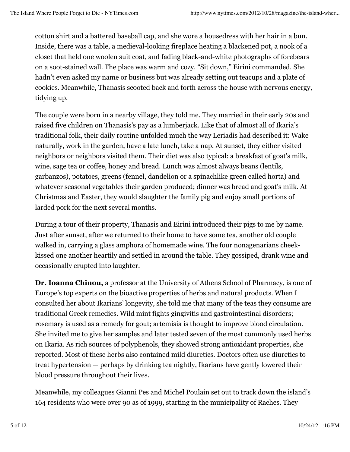cotton shirt and a battered baseball cap, and she wore a housedress with her hair in a bun. Inside, there was a table, a medieval-looking fireplace heating a blackened pot, a nook of a closet that held one woolen suit coat, and fading black-and-white photographs of forebears on a soot-stained wall. The place was warm and cozy. "Sit down," Eirini commanded. She hadn't even asked my name or business but was already setting out teacups and a plate of cookies. Meanwhile, Thanasis scooted back and forth across the house with nervous energy, tidying up.

The couple were born in a nearby village, they told me. They married in their early 20s and raised five children on Thanasis's pay as a lumberjack. Like that of almost all of Ikaria's traditional folk, their daily routine unfolded much the way Leriadis had described it: Wake naturally, work in the garden, have a late lunch, take a nap. At sunset, they either visited neighbors or neighbors visited them. Their diet was also typical: a breakfast of goat's milk, wine, sage tea or coffee, honey and bread. Lunch was almost always beans (lentils, garbanzos), potatoes, greens (fennel, dandelion or a spinachlike green called horta) and whatever seasonal vegetables their garden produced; dinner was bread and goat's milk. At Christmas and Easter, they would slaughter the family pig and enjoy small portions of larded pork for the next several months.

During a tour of their property, Thanasis and Eirini introduced their pigs to me by name. Just after sunset, after we returned to their home to have some tea, another old couple walked in, carrying a glass amphora of homemade wine. The four nonagenarians cheekkissed one another heartily and settled in around the table. They gossiped, drank wine and occasionally erupted into laughter.

**Dr. Ioanna Chinou,** a professor at the University of Athens School of Pharmacy, is one of Europe's top experts on the bioactive properties of herbs and natural products. When I consulted her about Ikarians' longevity, she told me that many of the teas they consume are traditional Greek remedies. Wild mint fights gingivitis and gastrointestinal disorders; rosemary is used as a remedy for gout; artemisia is thought to improve blood circulation. She invited me to give her samples and later tested seven of the most commonly used herbs on Ikaria. As rich sources of polyphenols, they showed strong antioxidant properties, she reported. Most of these herbs also contained mild diuretics. Doctors often use diuretics to treat hypertension — perhaps by drinking tea nightly, Ikarians have gently lowered their blood pressure throughout their lives.

Meanwhile, my colleagues Gianni Pes and Michel Poulain set out to track down the island's 164 residents who were over 90 as of 1999, starting in the municipality of Raches. They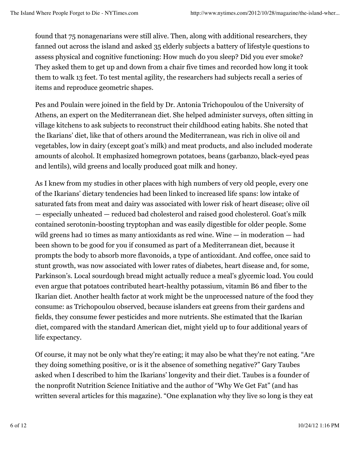found that 75 nonagenarians were still alive. Then, along with additional researchers, they fanned out across the island and asked 35 elderly subjects a battery of lifestyle questions to assess physical and cognitive functioning: How much do you sleep? Did you ever smoke? They asked them to get up and down from a chair five times and recorded how long it took them to walk 13 feet. To test mental agility, the researchers had subjects recall a series of items and reproduce geometric shapes.

Pes and Poulain were joined in the field by Dr. Antonia Trichopoulou of the University of Athens, an expert on the Mediterranean diet. She helped administer surveys, often sitting in village kitchens to ask subjects to reconstruct their childhood eating habits. She noted that the Ikarians' diet, like that of others around the Mediterranean, was rich in olive oil and vegetables, low in dairy (except goat's milk) and meat products, and also included moderate amounts of alcohol. It emphasized homegrown potatoes, beans (garbanzo, black-eyed peas and lentils), wild greens and locally produced goat milk and honey.

As I knew from my studies in other places with high numbers of very old people, every one of the Ikarians' dietary tendencies had been linked to increased life spans: low intake of saturated fats from meat and dairy was associated with lower risk of heart disease; olive oil — especially unheated — reduced bad cholesterol and raised good cholesterol. Goat's milk contained serotonin-boosting tryptophan and was easily digestible for older people. Some wild greens had 10 times as many antioxidants as red wine. Wine — in moderation — had been shown to be good for you if consumed as part of a Mediterranean diet, because it prompts the body to absorb more flavonoids, a type of antioxidant. And coffee, once said to stunt growth, was now associated with lower rates of diabetes, heart disease and, for some, Parkinson's. Local sourdough bread might actually reduce a meal's glycemic load. You could even argue that potatoes contributed heart-healthy potassium, vitamin B6 and fiber to the Ikarian diet. Another health factor at work might be the unprocessed nature of the food they consume: as Trichopoulou observed, because islanders eat greens from their gardens and fields, they consume fewer pesticides and more nutrients. She estimated that the Ikarian diet, compared with the standard American diet, might yield up to four additional years of life expectancy.

Of course, it may not be only what they're eating; it may also be what they're not eating. "Are they doing something positive, or is it the absence of something negative?" Gary Taubes asked when I described to him the Ikarians' longevity and their diet. Taubes is a founder of the nonprofit Nutrition Science Initiative and the author of "Why We Get Fat" (and has written several articles for this magazine). "One explanation why they live so long is they eat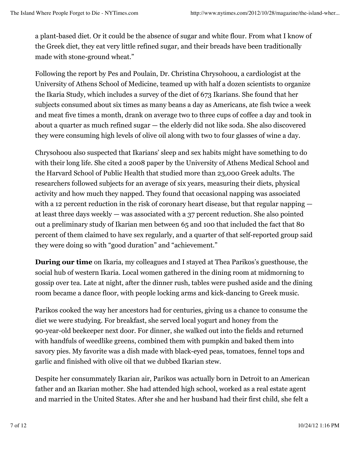a plant-based diet. Or it could be the absence of sugar and white flour. From what I know of the Greek diet, they eat very little refined sugar, and their breads have been traditionally made with stone-ground wheat."

Following the report by Pes and Poulain, Dr. Christina Chrysohoou, a cardiologist at the University of Athens School of Medicine, teamed up with half a dozen scientists to organize the Ikaria Study, which includes a survey of the diet of 673 Ikarians. She found that her subjects consumed about six times as many beans a day as Americans, ate fish twice a week and meat five times a month, drank on average two to three cups of coffee a day and took in about a quarter as much refined sugar — the elderly did not like soda. She also discovered they were consuming high levels of olive oil along with two to four glasses of wine a day.

Chrysohoou also suspected that Ikarians' sleep and sex habits might have something to do with their long life. She cited a 2008 paper by the University of Athens Medical School and the Harvard School of Public Health that studied more than 23,000 Greek adults. The researchers followed subjects for an average of six years, measuring their diets, physical activity and how much they napped. They found that occasional napping was associated with a 12 percent reduction in the risk of coronary heart disease, but that regular napping  $$ at least three days weekly — was associated with a 37 percent reduction. She also pointed out a preliminary study of Ikarian men between 65 and 100 that included the fact that 80 percent of them claimed to have sex regularly, and a quarter of that self-reported group said they were doing so with "good duration" and "achievement."

**During our time** on Ikaria, my colleagues and I stayed at Thea Parikos's guesthouse, the social hub of western Ikaria. Local women gathered in the dining room at midmorning to gossip over tea. Late at night, after the dinner rush, tables were pushed aside and the dining room became a dance floor, with people locking arms and kick-dancing to Greek music.

Parikos cooked the way her ancestors had for centuries, giving us a chance to consume the diet we were studying. For breakfast, she served local yogurt and honey from the 90-year-old beekeeper next door. For dinner, she walked out into the fields and returned with handfuls of weedlike greens, combined them with pumpkin and baked them into savory pies. My favorite was a dish made with black-eyed peas, tomatoes, fennel tops and garlic and finished with olive oil that we dubbed Ikarian stew.

Despite her consummately Ikarian air, Parikos was actually born in Detroit to an American father and an Ikarian mother. She had attended high school, worked as a real estate agent and married in the United States. After she and her husband had their first child, she felt a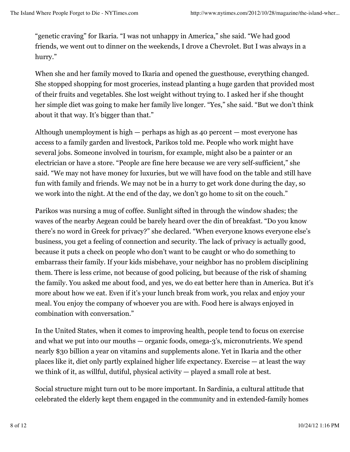"genetic craving" for Ikaria. "I was not unhappy in America," she said. "We had good friends, we went out to dinner on the weekends, I drove a Chevrolet. But I was always in a hurry."

When she and her family moved to Ikaria and opened the guesthouse, everything changed. She stopped shopping for most groceries, instead planting a huge garden that provided most of their fruits and vegetables. She lost weight without trying to. I asked her if she thought her simple diet was going to make her family live longer. "Yes," she said. "But we don't think about it that way. It's bigger than that."

Although unemployment is high — perhaps as high as 40 percent — most everyone has access to a family garden and livestock, Parikos told me. People who work might have several jobs. Someone involved in tourism, for example, might also be a painter or an electrician or have a store. "People are fine here because we are very self-sufficient," she said. "We may not have money for luxuries, but we will have food on the table and still have fun with family and friends. We may not be in a hurry to get work done during the day, so we work into the night. At the end of the day, we don't go home to sit on the couch."

Parikos was nursing a mug of coffee. Sunlight sifted in through the window shades; the waves of the nearby Aegean could be barely heard over the din of breakfast. "Do you know there's no word in Greek for privacy?" she declared. "When everyone knows everyone else's business, you get a feeling of connection and security. The lack of privacy is actually good, because it puts a check on people who don't want to be caught or who do something to embarrass their family. If your kids misbehave, your neighbor has no problem disciplining them. There is less crime, not because of good policing, but because of the risk of shaming the family. You asked me about food, and yes, we do eat better here than in America. But it's more about how we eat. Even if it's your lunch break from work, you relax and enjoy your meal. You enjoy the company of whoever you are with. Food here is always enjoyed in combination with conversation."

In the United States, when it comes to improving health, people tend to focus on exercise and what we put into our mouths — organic foods, omega-3's, micronutrients. We spend nearly \$30 billion a year on vitamins and supplements alone. Yet in Ikaria and the other places like it, diet only partly explained higher life expectancy. Exercise — at least the way we think of it, as willful, dutiful, physical activity — played a small role at best.

Social structure might turn out to be more important. In Sardinia, a cultural attitude that celebrated the elderly kept them engaged in the community and in extended-family homes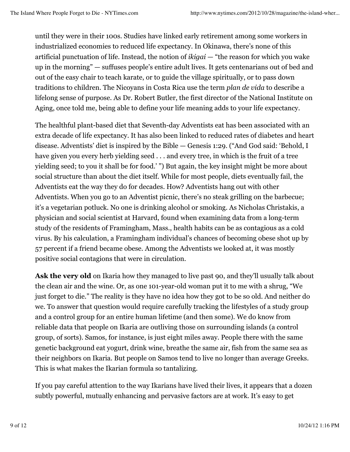until they were in their 100s. Studies have linked early retirement among some workers in industrialized economies to reduced life expectancy. In Okinawa, there's none of this artificial punctuation of life. Instead, the notion of *ikigai* — "the reason for which you wake up in the morning" — suffuses people's entire adult lives. It gets centenarians out of bed and out of the easy chair to teach karate, or to guide the village spiritually, or to pass down traditions to children. The Nicoyans in Costa Rica use the term *plan de vida* to describe a lifelong sense of purpose. As Dr. Robert Butler, the first director of the National Institute on Aging, once told me, being able to define your life meaning adds to your life expectancy.

The healthful plant-based diet that Seventh-day Adventists eat has been associated with an extra decade of life expectancy. It has also been linked to reduced rates of diabetes and heart disease. Adventists' diet is inspired by the Bible — Genesis 1:29. ("And God said: 'Behold, I have given you every herb yielding seed . . . and every tree, in which is the fruit of a tree yielding seed; to you it shall be for food.' ") But again, the key insight might be more about social structure than about the diet itself. While for most people, diets eventually fail, the Adventists eat the way they do for decades. How? Adventists hang out with other Adventists. When you go to an Adventist picnic, there's no steak grilling on the barbecue; it's a vegetarian potluck. No one is drinking alcohol or smoking. As Nicholas Christakis, a physician and social scientist at Harvard, found when examining data from a long-term study of the residents of Framingham, Mass., health habits can be as contagious as a cold virus. By his calculation, a Framingham individual's chances of becoming obese shot up by 57 percent if a friend became obese. Among the Adventists we looked at, it was mostly positive social contagions that were in circulation.

Ask the very old on Ikaria how they managed to live past 90, and they'll usually talk about the clean air and the wine. Or, as one 101-year-old woman put it to me with a shrug, "We just forget to die." The reality is they have no idea how they got to be so old. And neither do we. To answer that question would require carefully tracking the lifestyles of a study group and a control group for an entire human lifetime (and then some). We do know from reliable data that people on Ikaria are outliving those on surrounding islands (a control group, of sorts). Samos, for instance, is just eight miles away. People there with the same genetic background eat yogurt, drink wine, breathe the same air, fish from the same sea as their neighbors on Ikaria. But people on Samos tend to live no longer than average Greeks. This is what makes the Ikarian formula so tantalizing.

If you pay careful attention to the way Ikarians have lived their lives, it appears that a dozen subtly powerful, mutually enhancing and pervasive factors are at work. It's easy to get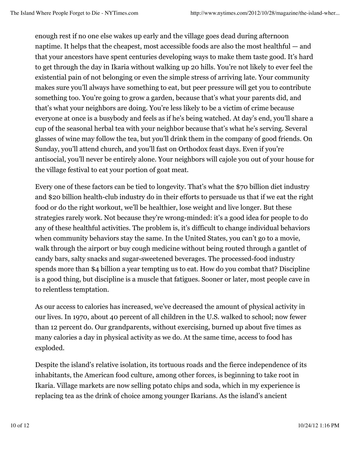enough rest if no one else wakes up early and the village goes dead during afternoon naptime. It helps that the cheapest, most accessible foods are also the most healthful — and that your ancestors have spent centuries developing ways to make them taste good. It's hard to get through the day in Ikaria without walking up 20 hills. You're not likely to ever feel the existential pain of not belonging or even the simple stress of arriving late. Your community makes sure you'll always have something to eat, but peer pressure will get you to contribute something too. You're going to grow a garden, because that's what your parents did, and that's what your neighbors are doing. You're less likely to be a victim of crime because everyone at once is a busybody and feels as if he's being watched. At day's end, you'll share a cup of the seasonal herbal tea with your neighbor because that's what he's serving. Several glasses of wine may follow the tea, but you'll drink them in the company of good friends. On Sunday, you'll attend church, and you'll fast on Orthodox feast days. Even if you're antisocial, you'll never be entirely alone. Your neighbors will cajole you out of your house for the village festival to eat your portion of goat meat.

Every one of these factors can be tied to longevity. That's what the \$70 billion diet industry and \$20 billion health-club industry do in their efforts to persuade us that if we eat the right food or do the right workout, we'll be healthier, lose weight and live longer. But these strategies rarely work. Not because they're wrong-minded: it's a good idea for people to do any of these healthful activities. The problem is, it's difficult to change individual behaviors when community behaviors stay the same. In the United States, you can't go to a movie, walk through the airport or buy cough medicine without being routed through a gantlet of candy bars, salty snacks and sugar-sweetened beverages. The processed-food industry spends more than \$4 billion a year tempting us to eat. How do you combat that? Discipline is a good thing, but discipline is a muscle that fatigues. Sooner or later, most people cave in to relentless temptation.

As our access to calories has increased, we've decreased the amount of physical activity in our lives. In 1970, about 40 percent of all children in the U.S. walked to school; now fewer than 12 percent do. Our grandparents, without exercising, burned up about five times as many calories a day in physical activity as we do. At the same time, access to food has exploded.

Despite the island's relative isolation, its tortuous roads and the fierce independence of its inhabitants, the American food culture, among other forces, is beginning to take root in Ikaria. Village markets are now selling potato chips and soda, which in my experience is replacing tea as the drink of choice among younger Ikarians. As the island's ancient